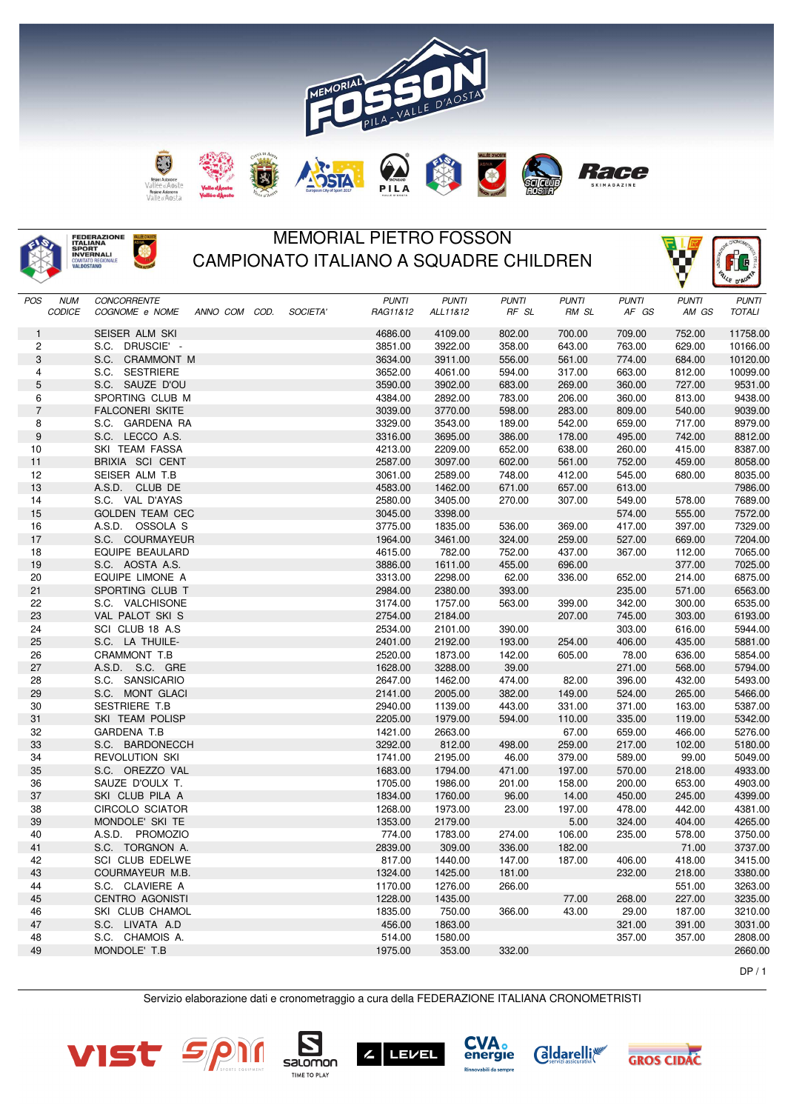



## MEMORIAL PIETRO FOSSON CAMPIONATO ITALIANO A SQUADRE CHILDREN

|                          |                                             |              |              |              |              |              | V            | CE D'AU-      |
|--------------------------|---------------------------------------------|--------------|--------------|--------------|--------------|--------------|--------------|---------------|
| <b>POS</b><br><b>NUM</b> | <b>CONCORRENTE</b>                          | <b>PUNTI</b> | <b>PUNTI</b> | <b>PUNTI</b> | <b>PUNTI</b> | <b>PUNTI</b> | <b>PUNTI</b> | <b>PUNTI</b>  |
| CODICE                   | COGNOME e NOME<br>ANNO COM COD.<br>SOCIETA' | RAG11&12     | ALL11&12     | RF SL        | RM SL        | AF GS        | AM GS        | <b>TOTALI</b> |
| $\mathbf{1}$             | SEISER ALM SKI                              | 4686.00      | 4109.00      | 802.00       | 700.00       | 709.00       | 752.00       | 11758.00      |
| 2                        | S.C. DRUSCIE' -                             | 3851.00      | 3922.00      | 358.00       | 643.00       | 763.00       | 629.00       | 10166.00      |
| 3                        | S.C. CRAMMONT M                             | 3634.00      | 3911.00      | 556.00       | 561.00       | 774.00       | 684.00       | 10120.00      |
| 4                        | S.C. SESTRIERE                              | 3652.00      | 4061.00      | 594.00       | 317.00       | 663.00       | 812.00       | 10099.00      |
| 5                        | S.C. SAUZE D'OU                             | 3590.00      | 3902.00      | 683.00       | 269.00       | 360.00       | 727.00       | 9531.00       |
| 6                        | SPORTING CLUB M                             | 4384.00      | 2892.00      | 783.00       | 206.00       | 360.00       | 813.00       | 9438.00       |
| $\overline{7}$           | <b>FALCONERI SKITE</b>                      | 3039.00      | 3770.00      | 598.00       | 283.00       | 809.00       | 540.00       | 9039.00       |
| 8                        | S.C. GARDENA RA                             | 3329.00      | 3543.00      | 189.00       | 542.00       | 659.00       | 717.00       | 8979.00       |
| 9                        | S.C. LECCO A.S.                             | 3316.00      | 3695.00      | 386.00       | 178.00       | 495.00       | 742.00       | 8812.00       |
| 10                       | SKI TEAM FASSA                              | 4213.00      | 2209.00      | 652.00       | 638.00       | 260.00       | 415.00       | 8387.00       |
| 11                       | BRIXIA SCI CENT                             | 2587.00      | 3097.00      | 602.00       | 561.00       | 752.00       | 459.00       | 8058.00       |
| 12                       | SEISER ALM T.B                              | 3061.00      | 2589.00      | 748.00       | 412.00       | 545.00       | 680.00       | 8035.00       |
| 13                       | A.S.D. CLUB DE                              | 4583.00      | 1462.00      | 671.00       | 657.00       | 613.00       |              | 7986.00       |
| 14                       | S.C. VAL D'AYAS                             | 2580.00      | 3405.00      | 270.00       | 307.00       | 549.00       | 578.00       | 7689.00       |
| 15                       | <b>GOLDEN TEAM CEC</b>                      | 3045.00      | 3398.00      |              |              | 574.00       | 555.00       | 7572.00       |
| 16                       | A.S.D. OSSOLA S                             | 3775.00      | 1835.00      | 536.00       | 369.00       | 417.00       | 397.00       | 7329.00       |
| 17                       | S.C. COURMAYEUR                             | 1964.00      | 3461.00      | 324.00       | 259.00       | 527.00       | 669.00       | 7204.00       |
| 18                       | EQUIPE BEAULARD                             | 4615.00      | 782.00       | 752.00       | 437.00       | 367.00       | 112.00       | 7065.00       |
| 19                       | S.C. AOSTA A.S.                             | 3886.00      | 1611.00      | 455.00       | 696.00       |              | 377.00       | 7025.00       |
| 20                       | EQUIPE LIMONE A                             | 3313.00      | 2298.00      | 62.00        | 336.00       | 652.00       | 214.00       | 6875.00       |
| 21                       | SPORTING CLUB T                             | 2984.00      | 2380.00      | 393.00       |              | 235.00       | 571.00       | 6563.00       |
| 22                       | S.C. VALCHISONE                             | 3174.00      | 1757.00      | 563.00       | 399.00       | 342.00       | 300.00       | 6535.00       |
| 23                       | VAL PALOT SKI S                             | 2754.00      | 2184.00      |              | 207.00       | 745.00       | 303.00       | 6193.00       |
| 24                       | SCI CLUB 18 A.S.                            | 2534.00      | 2101.00      | 390.00       |              | 303.00       | 616.00       | 5944.00       |
| 25                       | S.C. LA THUILE-                             | 2401.00      | 2192.00      | 193.00       | 254.00       | 406.00       | 435.00       | 5881.00       |
| 26                       | CRAMMONT T.B                                | 2520.00      | 1873.00      | 142.00       | 605.00       | 78.00        | 636.00       | 5854.00       |
| 27                       | A.S.D. S.C. GRE                             | 1628.00      | 3288.00      | 39.00        |              | 271.00       | 568.00       | 5794.00       |
| 28                       | S.C. SANSICARIO                             | 2647.00      | 1462.00      | 474.00       | 82.00        | 396.00       | 432.00       | 5493.00       |
| 29                       | S.C. MONT GLACI                             | 2141.00      | 2005.00      | 382.00       | 149.00       | 524.00       | 265.00       | 5466.00       |
| 30                       | SESTRIERE T.B                               | 2940.00      | 1139.00      | 443.00       | 331.00       | 371.00       | 163.00       | 5387.00       |
| 31                       | SKI TEAM POLISP                             | 2205.00      | 1979.00      | 594.00       | 110.00       | 335.00       | 119.00       | 5342.00       |
| 32                       | GARDENA T.B                                 | 1421.00      | 2663.00      |              | 67.00        | 659.00       | 466.00       | 5276.00       |
| 33                       | S.C. BARDONECCH                             | 3292.00      | 812.00       | 498.00       | 259.00       | 217.00       | 102.00       | 5180.00       |
| 34                       | REVOLUTION SKI                              | 1741.00      | 2195.00      | 46.00        | 379.00       | 589.00       | 99.00        | 5049.00       |
| 35                       | S.C. OREZZO VAL                             | 1683.00      | 1794.00      | 471.00       | 197.00       | 570.00       | 218.00       | 4933.00       |
| 36                       | SAUZE D'OULX T.                             | 1705.00      | 1986.00      | 201.00       | 158.00       | 200.00       | 653.00       | 4903.00       |
| 37                       | SKI CLUB PILA A                             | 1834.00      | 1760.00      | 96.00        | 14.00        | 450.00       | 245.00       | 4399.00       |
| 38                       | <b>CIRCOLO SCIATOR</b>                      | 1268.00      | 1973.00      | 23.00        | 197.00       | 478.00       | 442.00       | 4381.00       |
| 39                       | MONDOLE' SKI TE                             | 1353.00      | 2179.00      |              | 5.00         | 324.00       | 404.00       | 4265.00       |
| 40                       | A.S.D. PROMOZIO                             | 774.00       | 1783.00      | 274.00       | 106.00       | 235.00       | 578.00       | 3750.00       |
| 41                       | S.C. TORGNON A.                             | 2839.00      | 309.00       | 336.00       | 182.00       |              | 71.00        | 3737.00       |
| 42                       | SCI CLUB EDELWE                             | 817.00       | 1440.00      | 147.00       | 187.00       | 406.00       | 418.00       | 3415.00       |
| 43                       | COURMAYEUR M.B.                             | 1324.00      | 1425.00      | 181.00       |              | 232.00       | 218.00       | 3380.00       |
| 44                       | S.C. CLAVIERE A                             | 1170.00      | 1276.00      | 266.00       |              |              | 551.00       | 3263.00       |
| 45                       | CENTRO AGONISTI                             | 1228.00      | 1435.00      |              | 77.00        | 268.00       | 227.00       | 3235.00       |
| 46                       | SKI CLUB CHAMOL                             | 1835.00      | 750.00       | 366.00       | 43.00        | 29.00        | 187.00       | 3210.00       |
| 47                       | S.C. LIVATA A.D                             | 456.00       | 1863.00      |              |              | 321.00       | 391.00       | 3031.00       |
| 48                       | S.C. CHAMOIS A.                             | 514.00       | 1580.00      |              |              | 357.00       | 357.00       | 2808.00       |
| 49                       | MONDOLE' T.B                                | 1975.00      | 353.00       | 332.00       |              |              |              | 2660.00       |

 $DP/1$ 

Ífe

Servizio elaborazione dati e cronometraggio a cura della FEDERAZIONE ITALIANA CRONOMETRISTI